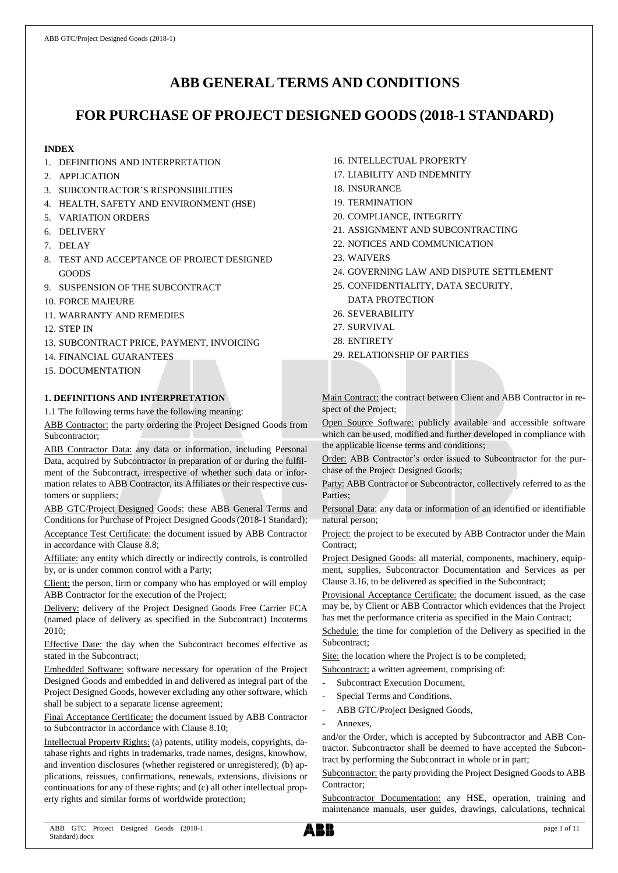# **ABB GENERAL TERMS AND CONDITIONS**

# **FOR PURCHASE OF PROJECT DESIGNED GOODS (2018-1 STANDARD)**

# **INDEX**

- 1. DEFINITIONS AND INTERPRETATION
- 2. APPLICATION
- 3. SUBCONTRACTOR'S RESPONSIBILITIES
- 4. HEALTH, SAFETY AND ENVIRONMENT (HSE)
- 5. VARIATION ORDERS
- 6. DELIVERY
- 7. DELAY
- 8. TEST AND ACCEPTANCE OF PROJECT DESIGNED GOODS
- 9. SUSPENSION OF THE SUBCONTRACT
- 10. FORCE MAJEURE
- 11. WARRANTY AND REMEDIES
- 12. STEP IN
- 13. SUBCONTRACT PRICE, PAYMENT, INVOICING
- 14. FINANCIAL GUARANTEES
- 15. DOCUMENTATION

# **1. DEFINITIONS AND INTERPRETATION**

1.1 The following terms have the following meaning:

ABB Contractor: the party ordering the Project Designed Goods from Subcontractor;

ABB Contractor Data: any data or information, including Personal Data, acquired by Subcontractor in preparation of or during the fulfilment of the Subcontract, irrespective of whether such data or information relates to ABB Contractor, its Affiliates or their respective customers or suppliers;

ABB GTC/Project Designed Goods: these ABB General Terms and Conditions for Purchase of Project Designed Goods (2018-1 Standard);

Acceptance Test Certificate: the document issued by ABB Contractor in accordance with Clause 8.8;

Affiliate: any entity which directly or indirectly controls, is controlled by, or is under common control with a Party;

Client: the person, firm or company who has employed or will employ ABB Contractor for the execution of the Project;

Delivery: delivery of the Project Designed Goods Free Carrier FCA (named place of delivery as specified in the Subcontract) Incoterms 2010;

Effective Date: the day when the Subcontract becomes effective as stated in the Subcontract;

Embedded Software: software necessary for operation of the Project Designed Goods and embedded in and delivered as integral part of the Project Designed Goods, however excluding any other software, which shall be subject to a separate license agreement;

Final Acceptance Certificate: the document issued by ABB Contractor to Subcontractor in accordance with Clause 8.10;

Intellectual Property Rights: (a) patents, utility models, copyrights, database rights and rights in trademarks, trade names, designs, knowhow, and invention disclosures (whether registered or unregistered); (b) applications, reissues, confirmations, renewals, extensions, divisions or continuations for any of these rights; and (c) all other intellectual property rights and similar forms of worldwide protection;

- 16. INTELLECTUAL PROPERTY
- 17. LIABILITY AND INDEMNITY
- 18. INSURANCE
- 19. TERMINATION
- 20. COMPLIANCE, INTEGRITY
- 21. ASSIGNMENT AND SUBCONTRACTING
- 22. NOTICES AND COMMUNICATION
- 23. WAIVERS
- 24. GOVERNING LAW AND DISPUTE SETTLEMENT
- 25. CONFIDENTIALITY, DATA SECURITY,
- DATA PROTECTION
- 26. SEVERABILITY
- 27. SURVIVAL
- 28. ENTIRETY
- 29. RELATIONSHIP OF PARTIES

Main Contract: the contract between Client and ABB Contractor in respect of the Project;

Open Source Software: publicly available and accessible software which can be used, modified and further developed in compliance with the applicable license terms and conditions;

Order: ABB Contractor's order issued to Subcontractor for the purchase of the Project Designed Goods;

Party: ABB Contractor or Subcontractor, collectively referred to as the Parties;

Personal Data: any data or information of an identified or identifiable natural person;

Project: the project to be executed by ABB Contractor under the Main Contract;

Project Designed Goods: all material, components, machinery, equipment, supplies, Subcontractor Documentation and Services as per Clause 3.16, to be delivered as specified in the Subcontract;

Provisional Acceptance Certificate: the document issued, as the case may be, by Client or ABB Contractor which evidences that the Project has met the performance criteria as specified in the Main Contract;

Schedule: the time for completion of the Delivery as specified in the Subcontract;

Site: the location where the Project is to be completed;

Subcontract: a written agreement, comprising of:

- Subcontract Execution Document,
- Special Terms and Conditions,
- ABB GTC/Project Designed Goods,
- Annexes,

and/or the Order, which is accepted by Subcontractor and ABB Contractor. Subcontractor shall be deemed to have accepted the Subcontract by performing the Subcontract in whole or in part;

Subcontractor: the party providing the Project Designed Goods to ABB Contractor;

Subcontractor Documentation: any HSE, operation, training and maintenance manuals, user guides, drawings, calculations, technical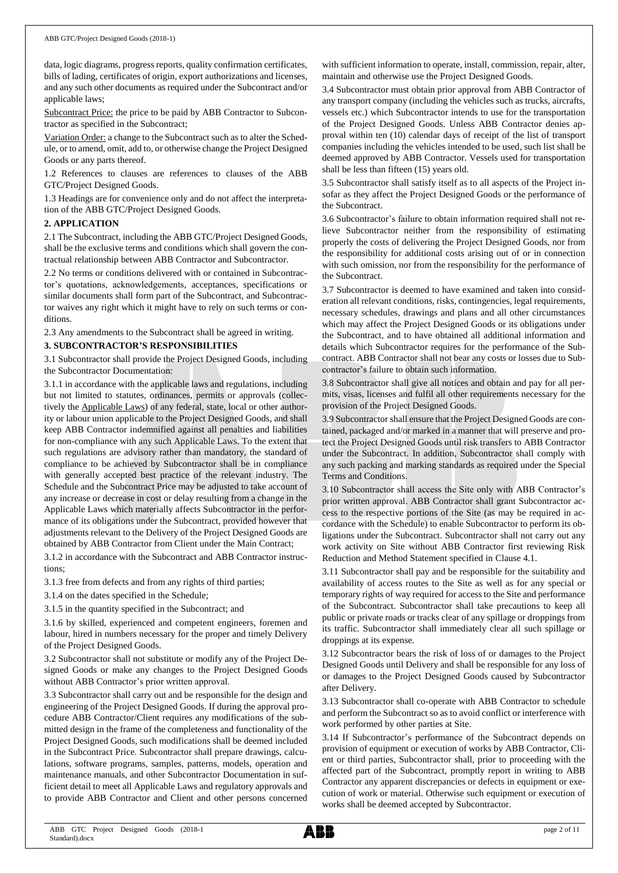data, logic diagrams, progress reports, quality confirmation certificates, bills of lading, certificates of origin, export authorizations and licenses, and any such other documents as required under the Subcontract and/or applicable laws;

Subcontract Price: the price to be paid by ABB Contractor to Subcontractor as specified in the Subcontract;

Variation Order: a change to the Subcontract such as to alter the Schedule, or to amend, omit, add to, or otherwise change the Project Designed Goods or any parts thereof.

1.2 References to clauses are references to clauses of the ABB GTC/Project Designed Goods.

1.3 Headings are for convenience only and do not affect the interpretation of the ABB GTC/Project Designed Goods.

## **2. APPLICATION**

2.1 The Subcontract, including the ABB GTC/Project Designed Goods, shall be the exclusive terms and conditions which shall govern the contractual relationship between ABB Contractor and Subcontractor.

2.2 No terms or conditions delivered with or contained in Subcontractor's quotations, acknowledgements, acceptances, specifications or similar documents shall form part of the Subcontract, and Subcontractor waives any right which it might have to rely on such terms or conditions.

2.3 Any amendments to the Subcontract shall be agreed in writing.

## **3. SUBCONTRACTOR'S RESPONSIBILITIES**

3.1 Subcontractor shall provide the Project Designed Goods, including the Subcontractor Documentation:

3.1.1 in accordance with the applicable laws and regulations, including but not limited to statutes, ordinances, permits or approvals (collectively the Applicable Laws) of any federal, state, local or other authority or labour union applicable to the Project Designed Goods, and shall keep ABB Contractor indemnified against all penalties and liabilities for non-compliance with any such Applicable Laws. To the extent that such regulations are advisory rather than mandatory, the standard of compliance to be achieved by Subcontractor shall be in compliance with generally accepted best practice of the relevant industry. The Schedule and the Subcontract Price may be adjusted to take account of any increase or decrease in cost or delay resulting from a change in the Applicable Laws which materially affects Subcontractor in the performance of its obligations under the Subcontract, provided however that adjustments relevant to the Delivery of the Project Designed Goods are obtained by ABB Contractor from Client under the Main Contract;

3.1.2 in accordance with the Subcontract and ABB Contractor instructions;

3.1.3 free from defects and from any rights of third parties;

3.1.4 on the dates specified in the Schedule;

3.1.5 in the quantity specified in the Subcontract; and

3.1.6 by skilled, experienced and competent engineers, foremen and labour, hired in numbers necessary for the proper and timely Delivery of the Project Designed Goods.

3.2 Subcontractor shall not substitute or modify any of the Project Designed Goods or make any changes to the Project Designed Goods without ABB Contractor's prior written approval.

3.3 Subcontractor shall carry out and be responsible for the design and engineering of the Project Designed Goods. If during the approval procedure ABB Contractor/Client requires any modifications of the submitted design in the frame of the completeness and functionality of the Project Designed Goods, such modifications shall be deemed included in the Subcontract Price. Subcontractor shall prepare drawings, calculations, software programs, samples, patterns, models, operation and maintenance manuals, and other Subcontractor Documentation in sufficient detail to meet all Applicable Laws and regulatory approvals and to provide ABB Contractor and Client and other persons concerned with sufficient information to operate, install, commission, repair, alter, maintain and otherwise use the Project Designed Goods.

3.4 Subcontractor must obtain prior approval from ABB Contractor of any transport company (including the vehicles such as trucks, aircrafts, vessels etc.) which Subcontractor intends to use for the transportation of the Project Designed Goods. Unless ABB Contractor denies approval within ten (10) calendar days of receipt of the list of transport companies including the vehicles intended to be used, such list shall be deemed approved by ABB Contractor. Vessels used for transportation shall be less than fifteen (15) years old.

3.5 Subcontractor shall satisfy itself as to all aspects of the Project insofar as they affect the Project Designed Goods or the performance of the Subcontract.

3.6 Subcontractor's failure to obtain information required shall not relieve Subcontractor neither from the responsibility of estimating properly the costs of delivering the Project Designed Goods, nor from the responsibility for additional costs arising out of or in connection with such omission, nor from the responsibility for the performance of the Subcontract.

3.7 Subcontractor is deemed to have examined and taken into consideration all relevant conditions, risks, contingencies, legal requirements, necessary schedules, drawings and plans and all other circumstances which may affect the Project Designed Goods or its obligations under the Subcontract, and to have obtained all additional information and details which Subcontractor requires for the performance of the Subcontract. ABB Contractor shall not bear any costs or losses due to Subcontractor's failure to obtain such information.

3.8 Subcontractor shall give all notices and obtain and pay for all permits, visas, licenses and fulfil all other requirements necessary for the provision of the Project Designed Goods.

3.9 Subcontractorshall ensure that the Project Designed Goods are contained, packaged and/or marked in a manner that will preserve and protect the Project Designed Goods until risk transfers to ABB Contractor under the Subcontract. In addition, Subcontractor shall comply with any such packing and marking standards as required under the Special Terms and Conditions.

3.10 Subcontractor shall access the Site only with ABB Contractor's prior written approval. ABB Contractor shall grant Subcontractor access to the respective portions of the Site (as may be required in accordance with the Schedule) to enable Subcontractor to perform its obligations under the Subcontract. Subcontractor shall not carry out any work activity on Site without ABB Contractor first reviewing Risk Reduction and Method Statement specified in Clause 4.1.

3.11 Subcontractor shall pay and be responsible for the suitability and availability of access routes to the Site as well as for any special or temporary rights of way required for access to the Site and performance of the Subcontract. Subcontractor shall take precautions to keep all public or private roads or tracks clear of any spillage or droppings from its traffic. Subcontractor shall immediately clear all such spillage or droppings at its expense.

3.12 Subcontractor bears the risk of loss of or damages to the Project Designed Goods until Delivery and shall be responsible for any loss of or damages to the Project Designed Goods caused by Subcontractor after Delivery.

3.13 Subcontractor shall co-operate with ABB Contractor to schedule and perform the Subcontract so as to avoid conflict or interference with work performed by other parties at Site.

3.14 If Subcontractor's performance of the Subcontract depends on provision of equipment or execution of works by ABB Contractor, Client or third parties, Subcontractor shall, prior to proceeding with the affected part of the Subcontract, promptly report in writing to ABB Contractor any apparent discrepancies or defects in equipment or execution of work or material. Otherwise such equipment or execution of works shall be deemed accepted by Subcontractor.

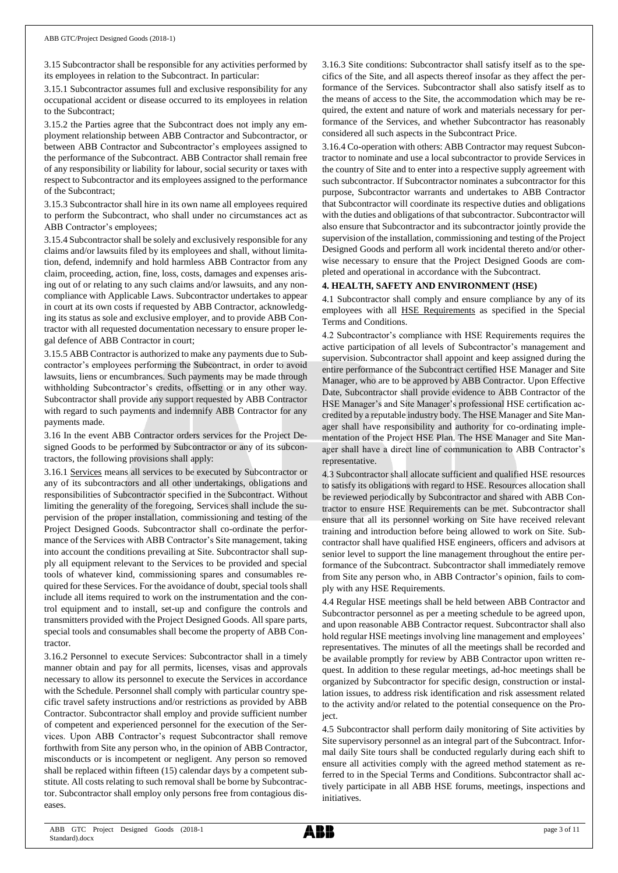3.15 Subcontractor shall be responsible for any activities performed by its employees in relation to the Subcontract. In particular:

3.15.1 Subcontractor assumes full and exclusive responsibility for any occupational accident or disease occurred to its employees in relation to the Subcontract;

3.15.2 the Parties agree that the Subcontract does not imply any employment relationship between ABB Contractor and Subcontractor, or between ABB Contractor and Subcontractor's employees assigned to the performance of the Subcontract. ABB Contractor shall remain free of any responsibility or liability for labour, social security or taxes with respect to Subcontractor and its employees assigned to the performance of the Subcontract;

3.15.3 Subcontractor shall hire in its own name all employees required to perform the Subcontract, who shall under no circumstances act as ABB Contractor's employees;

3.15.4 Subcontractor shall be solely and exclusively responsible for any claims and/or lawsuits filed by its employees and shall, without limitation, defend, indemnify and hold harmless ABB Contractor from any claim, proceeding, action, fine, loss, costs, damages and expenses arising out of or relating to any such claims and/or lawsuits, and any noncompliance with Applicable Laws. Subcontractor undertakes to appear in court at its own costs if requested by ABB Contractor, acknowledging its status as sole and exclusive employer, and to provide ABB Contractor with all requested documentation necessary to ensure proper legal defence of ABB Contractor in court;

3.15.5 ABB Contractor is authorized to make any payments due to Subcontractor's employees performing the Subcontract, in order to avoid lawsuits, liens or encumbrances. Such payments may be made through withholding Subcontractor's credits, offsetting or in any other way. Subcontractor shall provide any support requested by ABB Contractor with regard to such payments and indemnify ABB Contractor for any payments made.

3.16 In the event ABB Contractor orders services for the Project Designed Goods to be performed by Subcontractor or any of its subcontractors, the following provisions shall apply:

3.16.1 Services means all services to be executed by Subcontractor or any of its subcontractors and all other undertakings, obligations and responsibilities of Subcontractor specified in the Subcontract. Without limiting the generality of the foregoing, Services shall include the supervision of the proper installation, commissioning and testing of the Project Designed Goods. Subcontractor shall co-ordinate the performance of the Services with ABB Contractor's Site management, taking into account the conditions prevailing at Site. Subcontractor shall supply all equipment relevant to the Services to be provided and special tools of whatever kind, commissioning spares and consumables required for these Services. For the avoidance of doubt, special tools shall include all items required to work on the instrumentation and the control equipment and to install, set-up and configure the controls and transmitters provided with the Project Designed Goods. All spare parts, special tools and consumables shall become the property of ABB Contractor

3.16.2 Personnel to execute Services: Subcontractor shall in a timely manner obtain and pay for all permits, licenses, visas and approvals necessary to allow its personnel to execute the Services in accordance with the Schedule. Personnel shall comply with particular country specific travel safety instructions and/or restrictions as provided by ABB Contractor. Subcontractor shall employ and provide sufficient number of competent and experienced personnel for the execution of the Services. Upon ABB Contractor's request Subcontractor shall remove forthwith from Site any person who, in the opinion of ABB Contractor, misconducts or is incompetent or negligent. Any person so removed shall be replaced within fifteen (15) calendar days by a competent substitute. All costs relating to such removal shall be borne by Subcontractor. Subcontractor shall employ only persons free from contagious diseases.

3.16.3 Site conditions: Subcontractor shall satisfy itself as to the specifics of the Site, and all aspects thereof insofar as they affect the performance of the Services. Subcontractor shall also satisfy itself as to the means of access to the Site, the accommodation which may be required, the extent and nature of work and materials necessary for performance of the Services, and whether Subcontractor has reasonably considered all such aspects in the Subcontract Price.

3.16.4 Co-operation with others: ABB Contractor may request Subcontractor to nominate and use a local subcontractor to provide Services in the country of Site and to enter into a respective supply agreement with such subcontractor. If Subcontractor nominates a subcontractor for this purpose, Subcontractor warrants and undertakes to ABB Contractor that Subcontractor will coordinate its respective duties and obligations with the duties and obligations of that subcontractor. Subcontractor will also ensure that Subcontractor and its subcontractor jointly provide the supervision of the installation, commissioning and testing of the Project Designed Goods and perform all work incidental thereto and/or otherwise necessary to ensure that the Project Designed Goods are completed and operational in accordance with the Subcontract.

## **4. HEALTH, SAFETY AND ENVIRONMENT (HSE)**

4.1 Subcontractor shall comply and ensure compliance by any of its employees with all HSE Requirements as specified in the Special Terms and Conditions.

4.2 Subcontractor's compliance with HSE Requirements requires the active participation of all levels of Subcontractor's management and supervision. Subcontractor shall appoint and keep assigned during the entire performance of the Subcontract certified HSE Manager and Site Manager, who are to be approved by ABB Contractor. Upon Effective Date, Subcontractor shall provide evidence to ABB Contractor of the HSE Manager's and Site Manager's professional HSE certification accredited by a reputable industry body. The HSE Manager and Site Manager shall have responsibility and authority for co-ordinating implementation of the Project HSE Plan. The HSE Manager and Site Manager shall have a direct line of communication to ABB Contractor's representative.

4.3 Subcontractor shall allocate sufficient and qualified HSE resources to satisfy its obligations with regard to HSE. Resources allocation shall be reviewed periodically by Subcontractor and shared with ABB Contractor to ensure HSE Requirements can be met. Subcontractor shall ensure that all its personnel working on Site have received relevant training and introduction before being allowed to work on Site. Subcontractor shall have qualified HSE engineers, officers and advisors at senior level to support the line management throughout the entire performance of the Subcontract. Subcontractor shall immediately remove from Site any person who, in ABB Contractor's opinion, fails to comply with any HSE Requirements.

4.4 Regular HSE meetings shall be held between ABB Contractor and Subcontractor personnel as per a meeting schedule to be agreed upon, and upon reasonable ABB Contractor request. Subcontractor shall also hold regular HSE meetings involving line management and employees' representatives. The minutes of all the meetings shall be recorded and be available promptly for review by ABB Contractor upon written request. In addition to these regular meetings, ad-hoc meetings shall be organized by Subcontractor for specific design, construction or installation issues, to address risk identification and risk assessment related to the activity and/or related to the potential consequence on the Project.

4.5 Subcontractor shall perform daily monitoring of Site activities by Site supervisory personnel as an integral part of the Subcontract. Informal daily Site tours shall be conducted regularly during each shift to ensure all activities comply with the agreed method statement as referred to in the Special Terms and Conditions. Subcontractor shall actively participate in all ABB HSE forums, meetings, inspections and initiatives.

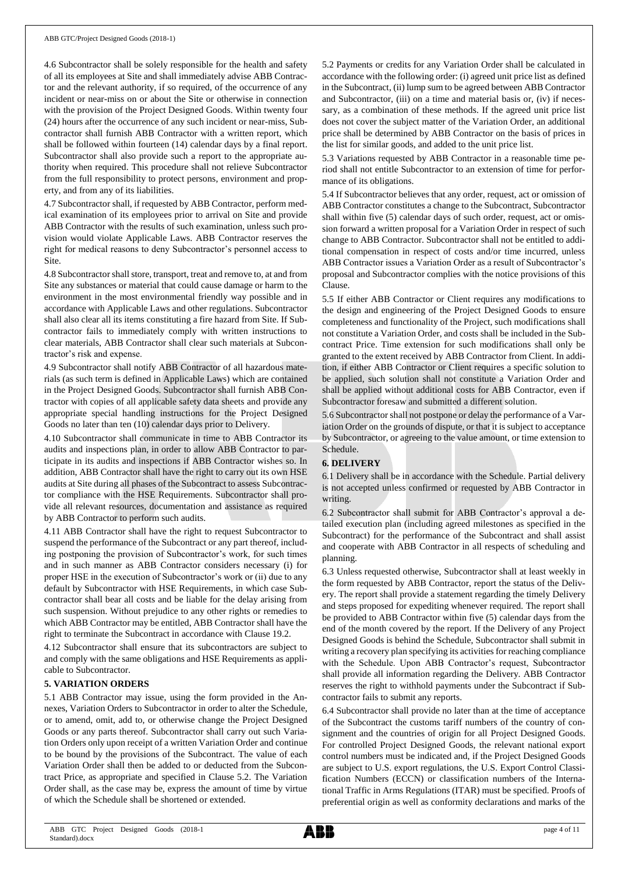4.6 Subcontractor shall be solely responsible for the health and safety of all its employees at Site and shall immediately advise ABB Contractor and the relevant authority, if so required, of the occurrence of any incident or near-miss on or about the Site or otherwise in connection with the provision of the Project Designed Goods. Within twenty four (24) hours after the occurrence of any such incident or near-miss, Subcontractor shall furnish ABB Contractor with a written report, which shall be followed within fourteen (14) calendar days by a final report. Subcontractor shall also provide such a report to the appropriate authority when required. This procedure shall not relieve Subcontractor from the full responsibility to protect persons, environment and property, and from any of its liabilities.

4.7 Subcontractor shall, if requested by ABB Contractor, perform medical examination of its employees prior to arrival on Site and provide ABB Contractor with the results of such examination, unless such provision would violate Applicable Laws. ABB Contractor reserves the right for medical reasons to deny Subcontractor's personnel access to Site.

4.8 Subcontractor shall store, transport, treat and remove to, at and from Site any substances or material that could cause damage or harm to the environment in the most environmental friendly way possible and in accordance with Applicable Laws and other regulations. Subcontractor shall also clear all its items constituting a fire hazard from Site. If Subcontractor fails to immediately comply with written instructions to clear materials, ABB Contractor shall clear such materials at Subcontractor's risk and expense.

4.9 Subcontractor shall notify ABB Contractor of all hazardous materials (as such term is defined in Applicable Laws) which are contained in the Project Designed Goods. Subcontractor shall furnish ABB Contractor with copies of all applicable safety data sheets and provide any appropriate special handling instructions for the Project Designed Goods no later than ten (10) calendar days prior to Delivery.

4.10 Subcontractor shall communicate in time to ABB Contractor its audits and inspections plan, in order to allow ABB Contractor to participate in its audits and inspections if ABB Contractor wishes so. In addition, ABB Contractor shall have the right to carry out its own HSE audits at Site during all phases of the Subcontract to assess Subcontractor compliance with the HSE Requirements. Subcontractor shall provide all relevant resources, documentation and assistance as required by ABB Contractor to perform such audits.

4.11 ABB Contractor shall have the right to request Subcontractor to suspend the performance of the Subcontract or any part thereof, including postponing the provision of Subcontractor's work, for such times and in such manner as ABB Contractor considers necessary (i) for proper HSE in the execution of Subcontractor's work or (ii) due to any default by Subcontractor with HSE Requirements, in which case Subcontractor shall bear all costs and be liable for the delay arising from such suspension. Without prejudice to any other rights or remedies to which ABB Contractor may be entitled, ABB Contractor shall have the right to terminate the Subcontract in accordance with Clause 19.2.

4.12 Subcontractor shall ensure that its subcontractors are subject to and comply with the same obligations and HSE Requirements as applicable to Subcontractor.

## **5. VARIATION ORDERS**

5.1 ABB Contractor may issue, using the form provided in the Annexes, Variation Orders to Subcontractor in order to alter the Schedule, or to amend, omit, add to, or otherwise change the Project Designed Goods or any parts thereof. Subcontractor shall carry out such Variation Orders only upon receipt of a written Variation Order and continue to be bound by the provisions of the Subcontract. The value of each Variation Order shall then be added to or deducted from the Subcontract Price, as appropriate and specified in Clause 5.2. The Variation Order shall, as the case may be, express the amount of time by virtue of which the Schedule shall be shortened or extended.

5.2 Payments or credits for any Variation Order shall be calculated in accordance with the following order: (i) agreed unit price list as defined in the Subcontract, (ii) lump sum to be agreed between ABB Contractor and Subcontractor, (iii) on a time and material basis or, (iv) if necessary, as a combination of these methods. If the agreed unit price list does not cover the subject matter of the Variation Order, an additional price shall be determined by ABB Contractor on the basis of prices in the list for similar goods, and added to the unit price list.

5.3 Variations requested by ABB Contractor in a reasonable time period shall not entitle Subcontractor to an extension of time for performance of its obligations.

5.4 If Subcontractor believes that any order, request, act or omission of ABB Contractor constitutes a change to the Subcontract, Subcontractor shall within five (5) calendar days of such order, request, act or omission forward a written proposal for a Variation Order in respect of such change to ABB Contractor. Subcontractor shall not be entitled to additional compensation in respect of costs and/or time incurred, unless ABB Contractor issues a Variation Order as a result of Subcontractor's proposal and Subcontractor complies with the notice provisions of this Clause.

5.5 If either ABB Contractor or Client requires any modifications to the design and engineering of the Project Designed Goods to ensure completeness and functionality of the Project, such modifications shall not constitute a Variation Order, and costs shall be included in the Subcontract Price. Time extension for such modifications shall only be granted to the extent received by ABB Contractor from Client. In addition, if either ABB Contractor or Client requires a specific solution to be applied, such solution shall not constitute a Variation Order and shall be applied without additional costs for ABB Contractor, even if Subcontractor foresaw and submitted a different solution.

5.6 Subcontractor shall not postpone or delay the performance of a Variation Order on the grounds of dispute, or that it is subject to acceptance by Subcontractor, or agreeing to the value amount, or time extension to Schedule.

## **6. DELIVERY**

6.1 Delivery shall be in accordance with the Schedule. Partial delivery is not accepted unless confirmed or requested by ABB Contractor in writing.

6.2 Subcontractor shall submit for ABB Contractor's approval a detailed execution plan (including agreed milestones as specified in the Subcontract) for the performance of the Subcontract and shall assist and cooperate with ABB Contractor in all respects of scheduling and planning.

6.3 Unless requested otherwise, Subcontractor shall at least weekly in the form requested by ABB Contractor, report the status of the Delivery. The report shall provide a statement regarding the timely Delivery and steps proposed for expediting whenever required. The report shall be provided to ABB Contractor within five (5) calendar days from the end of the month covered by the report. If the Delivery of any Project Designed Goods is behind the Schedule, Subcontractor shall submit in writing a recovery plan specifying its activities for reaching compliance with the Schedule. Upon ABB Contractor's request, Subcontractor shall provide all information regarding the Delivery. ABB Contractor reserves the right to withhold payments under the Subcontract if Subcontractor fails to submit any reports.

6.4 Subcontractor shall provide no later than at the time of acceptance of the Subcontract the customs tariff numbers of the country of consignment and the countries of origin for all Project Designed Goods. For controlled Project Designed Goods, the relevant national export control numbers must be indicated and, if the Project Designed Goods are subject to U.S. export regulations, the U.S. Export Control Classification Numbers (ECCN) or classification numbers of the International Traffic in Arms Regulations (ITAR) must be specified. Proofs of preferential origin as well as conformity declarations and marks of the

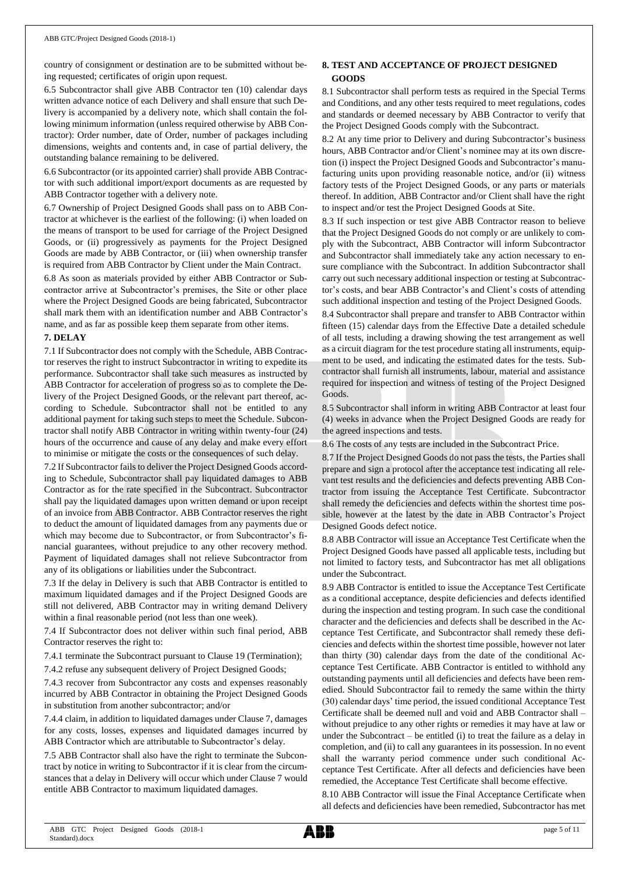country of consignment or destination are to be submitted without being requested; certificates of origin upon request.

6.5 Subcontractor shall give ABB Contractor ten (10) calendar days written advance notice of each Delivery and shall ensure that such Delivery is accompanied by a delivery note, which shall contain the following minimum information (unless required otherwise by ABB Contractor): Order number, date of Order, number of packages including dimensions, weights and contents and, in case of partial delivery, the outstanding balance remaining to be delivered.

6.6 Subcontractor (or its appointed carrier) shall provide ABB Contractor with such additional import/export documents as are requested by ABB Contractor together with a delivery note.

6.7 Ownership of Project Designed Goods shall pass on to ABB Contractor at whichever is the earliest of the following: (i) when loaded on the means of transport to be used for carriage of the Project Designed Goods, or (ii) progressively as payments for the Project Designed Goods are made by ABB Contractor, or (iii) when ownership transfer is required from ABB Contractor by Client under the Main Contract.

6.8 As soon as materials provided by either ABB Contractor or Subcontractor arrive at Subcontractor's premises, the Site or other place where the Project Designed Goods are being fabricated, Subcontractor shall mark them with an identification number and ABB Contractor's name, and as far as possible keep them separate from other items.

#### **7. DELAY**

7.1 If Subcontractor does not comply with the Schedule, ABB Contractor reserves the right to instruct Subcontractor in writing to expedite its performance. Subcontractor shall take such measures as instructed by ABB Contractor for acceleration of progress so as to complete the Delivery of the Project Designed Goods, or the relevant part thereof, according to Schedule. Subcontractor shall not be entitled to any additional payment for taking such steps to meet the Schedule. Subcontractor shall notify ABB Contractor in writing within twenty-four (24) hours of the occurrence and cause of any delay and make every effort to minimise or mitigate the costs or the consequences of such delay.

7.2 If Subcontractor fails to deliver the Project Designed Goods according to Schedule, Subcontractor shall pay liquidated damages to ABB Contractor as for the rate specified in the Subcontract. Subcontractor shall pay the liquidated damages upon written demand or upon receipt of an invoice from ABB Contractor. ABB Contractor reserves the right to deduct the amount of liquidated damages from any payments due or which may become due to Subcontractor, or from Subcontractor's financial guarantees, without prejudice to any other recovery method. Payment of liquidated damages shall not relieve Subcontractor from any of its obligations or liabilities under the Subcontract.

7.3 If the delay in Delivery is such that ABB Contractor is entitled to maximum liquidated damages and if the Project Designed Goods are still not delivered, ABB Contractor may in writing demand Delivery within a final reasonable period (not less than one week).

7.4 If Subcontractor does not deliver within such final period, ABB Contractor reserves the right to:

7.4.1 terminate the Subcontract pursuant to Clause 19 (Termination);

7.4.2 refuse any subsequent delivery of Project Designed Goods;

7.4.3 recover from Subcontractor any costs and expenses reasonably incurred by ABB Contractor in obtaining the Project Designed Goods in substitution from another subcontractor; and/or

7.4.4 claim, in addition to liquidated damages under Clause 7, damages for any costs, losses, expenses and liquidated damages incurred by ABB Contractor which are attributable to Subcontractor's delay.

7.5 ABB Contractor shall also have the right to terminate the Subcontract by notice in writing to Subcontractor if it is clear from the circumstances that a delay in Delivery will occur which under Clause 7 would entitle ABB Contractor to maximum liquidated damages.

# **8. TEST AND ACCEPTANCE OF PROJECT DESIGNED GOODS**

8.1 Subcontractor shall perform tests as required in the Special Terms and Conditions, and any other tests required to meet regulations, codes and standards or deemed necessary by ABB Contractor to verify that the Project Designed Goods comply with the Subcontract.

8.2 At any time prior to Delivery and during Subcontractor's business hours, ABB Contractor and/or Client's nominee may at its own discretion (i) inspect the Project Designed Goods and Subcontractor's manufacturing units upon providing reasonable notice, and/or (ii) witness factory tests of the Project Designed Goods, or any parts or materials thereof. In addition, ABB Contractor and/or Client shall have the right to inspect and/or test the Project Designed Goods at Site.

8.3 If such inspection or test give ABB Contractor reason to believe that the Project Designed Goods do not comply or are unlikely to comply with the Subcontract, ABB Contractor will inform Subcontractor and Subcontractor shall immediately take any action necessary to ensure compliance with the Subcontract. In addition Subcontractor shall carry out such necessary additional inspection or testing at Subcontractor's costs, and bear ABB Contractor's and Client's costs of attending such additional inspection and testing of the Project Designed Goods.

8.4 Subcontractor shall prepare and transfer to ABB Contractor within fifteen (15) calendar days from the Effective Date a detailed schedule of all tests, including a drawing showing the test arrangement as well as a circuit diagram for the test procedure stating all instruments, equipment to be used, and indicating the estimated dates for the tests. Subcontractor shall furnish all instruments, labour, material and assistance required for inspection and witness of testing of the Project Designed Goods.

8.5 Subcontractor shall inform in writing ABB Contractor at least four (4) weeks in advance when the Project Designed Goods are ready for the agreed inspections and tests.

8.6 The costs of any tests are included in the Subcontract Price.

8.7 If the Project Designed Goods do not pass the tests, the Parties shall prepare and sign a protocol after the acceptance test indicating all relevant test results and the deficiencies and defects preventing ABB Contractor from issuing the Acceptance Test Certificate. Subcontractor shall remedy the deficiencies and defects within the shortest time possible, however at the latest by the date in ABB Contractor's Project Designed Goods defect notice.

8.8 ABB Contractor will issue an Acceptance Test Certificate when the Project Designed Goods have passed all applicable tests, including but not limited to factory tests, and Subcontractor has met all obligations under the Subcontract.

8.9 ABB Contractor is entitled to issue the Acceptance Test Certificate as a conditional acceptance, despite deficiencies and defects identified during the inspection and testing program. In such case the conditional character and the deficiencies and defects shall be described in the Acceptance Test Certificate, and Subcontractor shall remedy these deficiencies and defects within the shortest time possible, however not later than thirty (30) calendar days from the date of the conditional Acceptance Test Certificate. ABB Contractor is entitled to withhold any outstanding payments until all deficiencies and defects have been remedied. Should Subcontractor fail to remedy the same within the thirty (30) calendar days' time period, the issued conditional Acceptance Test Certificate shall be deemed null and void and ABB Contractor shall – without prejudice to any other rights or remedies it may have at law or under the Subcontract – be entitled (i) to treat the failure as a delay in completion, and (ii) to call any guarantees in its possession. In no event shall the warranty period commence under such conditional Acceptance Test Certificate. After all defects and deficiencies have been remedied, the Acceptance Test Certificate shall become effective.

8.10 ABB Contractor will issue the Final Acceptance Certificate when all defects and deficiencies have been remedied, Subcontractor has met

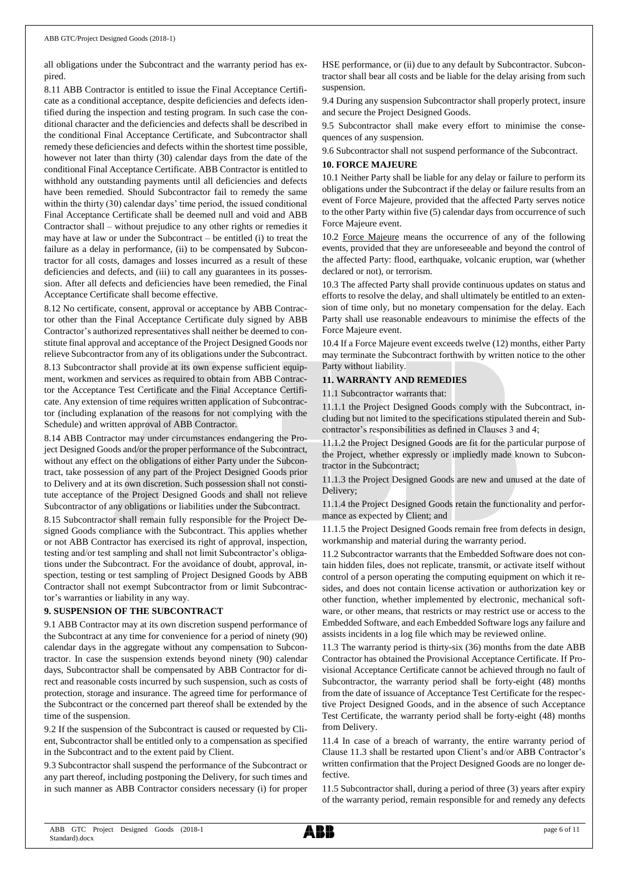all obligations under the Subcontract and the warranty period has expired.

8.11 ABB Contractor is entitled to issue the Final Acceptance Certificate as a conditional acceptance, despite deficiencies and defects identified during the inspection and testing program. In such case the conditional character and the deficiencies and defects shall be described in the conditional Final Acceptance Certificate, and Subcontractor shall remedy these deficiencies and defects within the shortest time possible, however not later than thirty (30) calendar days from the date of the conditional Final Acceptance Certificate. ABB Contractor is entitled to withhold any outstanding payments until all deficiencies and defects have been remedied. Should Subcontractor fail to remedy the same within the thirty (30) calendar days' time period, the issued conditional Final Acceptance Certificate shall be deemed null and void and ABB Contractor shall – without prejudice to any other rights or remedies it may have at law or under the Subcontract – be entitled (i) to treat the failure as a delay in performance, (ii) to be compensated by Subcontractor for all costs, damages and losses incurred as a result of these deficiencies and defects, and (iii) to call any guarantees in its possession. After all defects and deficiencies have been remedied, the Final Acceptance Certificate shall become effective.

8.12 No certificate, consent, approval or acceptance by ABB Contractor other than the Final Acceptance Certificate duly signed by ABB Contractor's authorized representatives shall neither be deemed to constitute final approval and acceptance of the Project Designed Goods nor relieve Subcontractor from any of its obligations under the Subcontract.

8.13 Subcontractor shall provide at its own expense sufficient equipment, workmen and services as required to obtain from ABB Contractor the Acceptance Test Certificate and the Final Acceptance Certificate. Any extension of time requires written application of Subcontractor (including explanation of the reasons for not complying with the Schedule) and written approval of ABB Contractor.

8.14 ABB Contractor may under circumstances endangering the Project Designed Goods and/or the proper performance of the Subcontract, without any effect on the obligations of either Party under the Subcontract, take possession of any part of the Project Designed Goods prior to Delivery and at its own discretion. Such possession shall not constitute acceptance of the Project Designed Goods and shall not relieve Subcontractor of any obligations or liabilities under the Subcontract.

8.15 Subcontractor shall remain fully responsible for the Project Designed Goods compliance with the Subcontract. This applies whether or not ABB Contractor has exercised its right of approval, inspection, testing and/or test sampling and shall not limit Subcontractor's obligations under the Subcontract. For the avoidance of doubt, approval, inspection, testing or test sampling of Project Designed Goods by ABB Contractor shall not exempt Subcontractor from or limit Subcontractor's warranties or liability in any way.

## **9. SUSPENSION OF THE SUBCONTRACT**

9.1 ABB Contractor may at its own discretion suspend performance of the Subcontract at any time for convenience for a period of ninety (90) calendar days in the aggregate without any compensation to Subcontractor. In case the suspension extends beyond ninety (90) calendar days, Subcontractor shall be compensated by ABB Contractor for direct and reasonable costs incurred by such suspension, such as costs of protection, storage and insurance. The agreed time for performance of the Subcontract or the concerned part thereof shall be extended by the time of the suspension.

9.2 If the suspension of the Subcontract is caused or requested by Client, Subcontractor shall be entitled only to a compensation as specified in the Subcontract and to the extent paid by Client.

9.3 Subcontractor shall suspend the performance of the Subcontract or any part thereof, including postponing the Delivery, for such times and in such manner as ABB Contractor considers necessary (i) for proper

HSE performance, or (ii) due to any default by Subcontractor. Subcontractor shall bear all costs and be liable for the delay arising from such suspension.

9.4 During any suspension Subcontractor shall properly protect, insure and secure the Project Designed Goods.

9.5 Subcontractor shall make every effort to minimise the consequences of any suspension.

9.6 Subcontractor shall not suspend performance of the Subcontract.

## **10. FORCE MAJEURE**

10.1 Neither Party shall be liable for any delay or failure to perform its obligations under the Subcontract if the delay or failure results from an event of Force Majeure, provided that the affected Party serves notice to the other Party within five (5) calendar days from occurrence of such Force Majeure event.

10.2 Force Majeure means the occurrence of any of the following events, provided that they are unforeseeable and beyond the control of the affected Party: flood, earthquake, volcanic eruption, war (whether declared or not), or terrorism.

10.3 The affected Party shall provide continuous updates on status and efforts to resolve the delay, and shall ultimately be entitled to an extension of time only, but no monetary compensation for the delay. Each Party shall use reasonable endeavours to minimise the effects of the Force Majeure event.

10.4 If a Force Majeure event exceeds twelve (12) months, either Party may terminate the Subcontract forthwith by written notice to the other Party without liability.

## **11. WARRANTY AND REMEDIES**

11.1 Subcontractor warrants that:

11.1.1 the Project Designed Goods comply with the Subcontract, including but not limited to the specifications stipulated therein and Subcontractor's responsibilities as defined in Clauses 3 and 4;

11.1.2 the Project Designed Goods are fit for the particular purpose of the Project, whether expressly or impliedly made known to Subcontractor in the Subcontract;

11.1.3 the Project Designed Goods are new and unused at the date of Delivery;

11.1.4 the Project Designed Goods retain the functionality and performance as expected by Client; and

11.1.5 the Project Designed Goods remain free from defects in design, workmanship and material during the warranty period.

11.2 Subcontractor warrants that the Embedded Software does not contain hidden files, does not replicate, transmit, or activate itself without control of a person operating the computing equipment on which it resides, and does not contain license activation or authorization key or other function, whether implemented by electronic, mechanical software, or other means, that restricts or may restrict use or access to the Embedded Software, and each Embedded Software logs any failure and assists incidents in a log file which may be reviewed online.

11.3 The warranty period is thirty-six (36) months from the date ABB Contractor has obtained the Provisional Acceptance Certificate. If Provisional Acceptance Certificate cannot be achieved through no fault of Subcontractor, the warranty period shall be forty-eight (48) months from the date of issuance of Acceptance Test Certificate for the respective Project Designed Goods, and in the absence of such Acceptance Test Certificate, the warranty period shall be forty-eight (48) months from Delivery.

11.4 In case of a breach of warranty, the entire warranty period of Clause 11.3 shall be restarted upon Client's and/or ABB Contractor's written confirmation that the Project Designed Goods are no longer defective.

11.5 Subcontractor shall, during a period of three (3) years after expiry of the warranty period, remain responsible for and remedy any defects

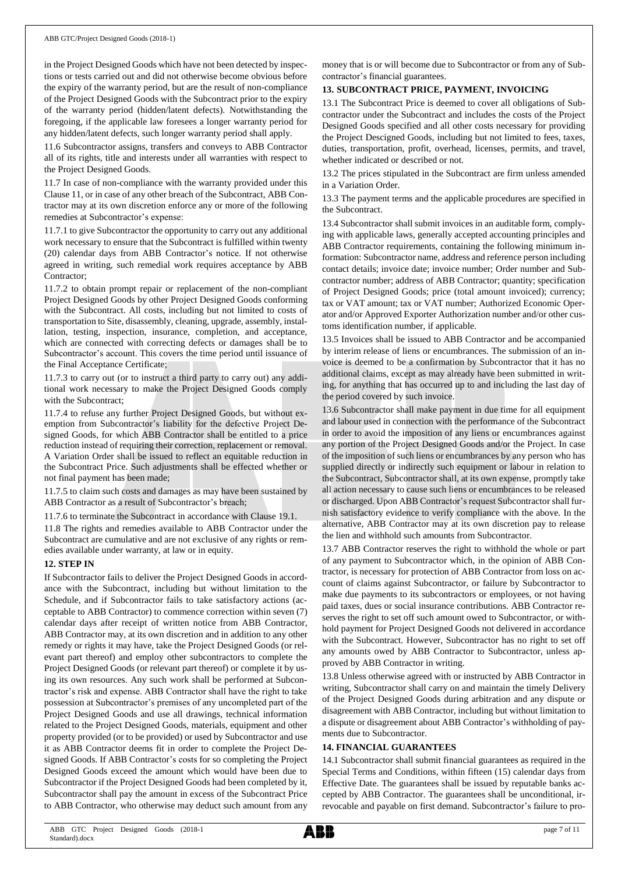in the Project Designed Goods which have not been detected by inspections or tests carried out and did not otherwise become obvious before the expiry of the warranty period, but are the result of non-compliance of the Project Designed Goods with the Subcontract prior to the expiry of the warranty period (hidden/latent defects). Notwithstanding the foregoing, if the applicable law foresees a longer warranty period for any hidden/latent defects, such longer warranty period shall apply.

11.6 Subcontractor assigns, transfers and conveys to ABB Contractor all of its rights, title and interests under all warranties with respect to the Project Designed Goods.

11.7 In case of non-compliance with the warranty provided under this Clause 11, or in case of any other breach of the Subcontract, ABB Contractor may at its own discretion enforce any or more of the following remedies at Subcontractor's expense:

11.7.1 to give Subcontractor the opportunity to carry out any additional work necessary to ensure that the Subcontract is fulfilled within twenty (20) calendar days from ABB Contractor's notice. If not otherwise agreed in writing, such remedial work requires acceptance by ABB Contractor;

11.7.2 to obtain prompt repair or replacement of the non-compliant Project Designed Goods by other Project Designed Goods conforming with the Subcontract. All costs, including but not limited to costs of transportation to Site, disassembly, cleaning, upgrade, assembly, installation, testing, inspection, insurance, completion, and acceptance, which are connected with correcting defects or damages shall be to Subcontractor's account. This covers the time period until issuance of the Final Acceptance Certificate;

11.7.3 to carry out (or to instruct a third party to carry out) any additional work necessary to make the Project Designed Goods comply with the Subcontract;

11.7.4 to refuse any further Project Designed Goods, but without exemption from Subcontractor's liability for the defective Project Designed Goods, for which ABB Contractor shall be entitled to a price reduction instead of requiring their correction, replacement or removal. A Variation Order shall be issued to reflect an equitable reduction in the Subcontract Price. Such adjustments shall be effected whether or not final payment has been made;

11.7.5 to claim such costs and damages as may have been sustained by ABB Contractor as a result of Subcontractor's breach;

11.7.6 to terminate the Subcontract in accordance with Clause 19.1.

11.8 The rights and remedies available to ABB Contractor under the Subcontract are cumulative and are not exclusive of any rights or remedies available under warranty, at law or in equity.

## **12. STEP IN**

If Subcontractor fails to deliver the Project Designed Goods in accordance with the Subcontract, including but without limitation to the Schedule, and if Subcontractor fails to take satisfactory actions (acceptable to ABB Contractor) to commence correction within seven (7) calendar days after receipt of written notice from ABB Contractor, ABB Contractor may, at its own discretion and in addition to any other remedy or rights it may have, take the Project Designed Goods (or relevant part thereof) and employ other subcontractors to complete the Project Designed Goods (or relevant part thereof) or complete it by using its own resources. Any such work shall be performed at Subcontractor's risk and expense. ABB Contractor shall have the right to take possession at Subcontractor's premises of any uncompleted part of the Project Designed Goods and use all drawings, technical information related to the Project Designed Goods, materials, equipment and other property provided (or to be provided) or used by Subcontractor and use it as ABB Contractor deems fit in order to complete the Project Designed Goods. If ABB Contractor's costs for so completing the Project Designed Goods exceed the amount which would have been due to Subcontractor if the Project Designed Goods had been completed by it, Subcontractor shall pay the amount in excess of the Subcontract Price to ABB Contractor, who otherwise may deduct such amount from any

money that is or will become due to Subcontractor or from any of Subcontractor's financial guarantees.

## **13. SUBCONTRACT PRICE, PAYMENT, INVOICING**

13.1 The Subcontract Price is deemed to cover all obligations of Subcontractor under the Subcontract and includes the costs of the Project Designed Goods specified and all other costs necessary for providing the Project Descigned Goods, including but not limited to fees, taxes, duties, transportation, profit, overhead, licenses, permits, and travel, whether indicated or described or not.

13.2 The prices stipulated in the Subcontract are firm unless amended in a Variation Order.

13.3 The payment terms and the applicable procedures are specified in the Subcontract.

13.4 Subcontractor shall submit invoices in an auditable form, complying with applicable laws, generally accepted accounting principles and ABB Contractor requirements, containing the following minimum information: Subcontractor name, address and reference person including contact details; invoice date; invoice number; Order number and Subcontractor number; address of ABB Contractor; quantity; specification of Project Designed Goods; price (total amount invoiced); currency; tax or VAT amount; tax or VAT number; Authorized Economic Operator and/or Approved Exporter Authorization number and/or other customs identification number, if applicable.

13.5 Invoices shall be issued to ABB Contractor and be accompanied by interim release of liens or encumbrances. The submission of an invoice is deemed to be a confirmation by Subcontractor that it has no additional claims, except as may already have been submitted in writing, for anything that has occurred up to and including the last day of the period covered by such invoice.

13.6 Subcontractor shall make payment in due time for all equipment and labour used in connection with the performance of the Subcontract in order to avoid the imposition of any liens or encumbrances against any portion of the Project Designed Goods and/or the Project. In case of the imposition of such liens or encumbrances by any person who has supplied directly or indirectly such equipment or labour in relation to the Subcontract, Subcontractor shall, at its own expense, promptly take all action necessary to cause such liens or encumbrances to be released or discharged. Upon ABB Contractor's request Subcontractor shall furnish satisfactory evidence to verify compliance with the above. In the alternative, ABB Contractor may at its own discretion pay to release the lien and withhold such amounts from Subcontractor.

13.7 ABB Contractor reserves the right to withhold the whole or part of any payment to Subcontractor which, in the opinion of ABB Contractor, is necessary for protection of ABB Contractor from loss on account of claims against Subcontractor, or failure by Subcontractor to make due payments to its subcontractors or employees, or not having paid taxes, dues or social insurance contributions. ABB Contractor reserves the right to set off such amount owed to Subcontractor, or withhold payment for Project Designed Goods not delivered in accordance with the Subcontract. However, Subcontractor has no right to set off any amounts owed by ABB Contractor to Subcontractor, unless approved by ABB Contractor in writing.

13.8 Unless otherwise agreed with or instructed by ABB Contractor in writing, Subcontractor shall carry on and maintain the timely Delivery of the Project Designed Goods during arbitration and any dispute or disagreement with ABB Contractor, including but without limitation to a dispute or disagreement about ABB Contractor's withholding of payments due to Subcontractor.

## **14. FINANCIAL GUARANTEES**

14.1 Subcontractor shall submit financial guarantees as required in the Special Terms and Conditions, within fifteen (15) calendar days from Effective Date. The guarantees shall be issued by reputable banks accepted by ABB Contractor. The guarantees shall be unconditional, irrevocable and payable on first demand. Subcontractor's failure to pro-

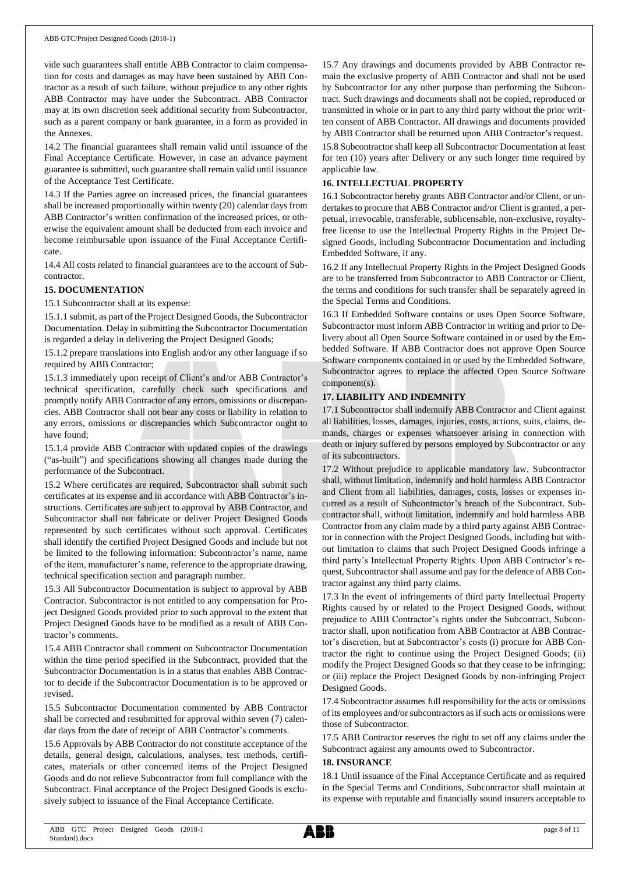vide such guarantees shall entitle ABB Contractor to claim compensation for costs and damages as may have been sustained by ABB Contractor as a result of such failure, without prejudice to any other rights ABB Contractor may have under the Subcontract. ABB Contractor may at its own discretion seek additional security from Subcontractor, such as a parent company or bank guarantee, in a form as provided in the Annexes.

14.2 The financial guarantees shall remain valid until issuance of the Final Acceptance Certificate. However, in case an advance payment guarantee is submitted, such guarantee shall remain valid until issuance of the Acceptance Test Certificate.

14.3 If the Parties agree on increased prices, the financial guarantees shall be increased proportionally within twenty (20) calendar days from ABB Contractor's written confirmation of the increased prices, or otherwise the equivalent amount shall be deducted from each invoice and become reimbursable upon issuance of the Final Acceptance Certificate.

14.4 All costs related to financial guarantees are to the account of Subcontractor.

#### **15. DOCUMENTATION**

15.1 Subcontractor shall at its expense:

15.1.1 submit, as part of the Project Designed Goods, the Subcontractor Documentation. Delay in submitting the Subcontractor Documentation is regarded a delay in delivering the Project Designed Goods;

15.1.2 prepare translations into English and/or any other language if so required by ABB Contractor;

15.1.3 immediately upon receipt of Client's and/or ABB Contractor's technical specification, carefully check such specifications and promptly notify ABB Contractor of any errors, omissions or discrepancies. ABB Contractor shall not bear any costs or liability in relation to any errors, omissions or discrepancies which Subcontractor ought to have found;

15.1.4 provide ABB Contractor with updated copies of the drawings ("as-built") and specifications showing all changes made during the performance of the Subcontract.

15.2 Where certificates are required, Subcontractor shall submit such certificates at its expense and in accordance with ABB Contractor's instructions. Certificates are subject to approval by ABB Contractor, and Subcontractor shall not fabricate or deliver Project Designed Goods represented by such certificates without such approval. Certificates shall identify the certified Project Designed Goods and include but not be limited to the following information: Subcontractor's name, name of the item, manufacturer's name, reference to the appropriate drawing, technical specification section and paragraph number.

15.3 All Subcontractor Documentation is subject to approval by ABB Contractor. Subcontractor is not entitled to any compensation for Project Designed Goods provided prior to such approval to the extent that Project Designed Goods have to be modified as a result of ABB Contractor's comments.

15.4 ABB Contractor shall comment on Subcontractor Documentation within the time period specified in the Subcontract, provided that the Subcontractor Documentation is in a status that enables ABB Contractor to decide if the Subcontractor Documentation is to be approved or revised.

15.5 Subcontractor Documentation commented by ABB Contractor shall be corrected and resubmitted for approval within seven (7) calendar days from the date of receipt of ABB Contractor's comments.

15.6 Approvals by ABB Contractor do not constitute acceptance of the details, general design, calculations, analyses, test methods, certificates, materials or other concerned items of the Project Designed Goods and do not relieve Subcontractor from full compliance with the Subcontract. Final acceptance of the Project Designed Goods is exclusively subject to issuance of the Final Acceptance Certificate.

15.7 Any drawings and documents provided by ABB Contractor remain the exclusive property of ABB Contractor and shall not be used by Subcontractor for any other purpose than performing the Subcontract. Such drawings and documents shall not be copied, reproduced or transmitted in whole or in part to any third party without the prior written consent of ABB Contractor. All drawings and documents provided by ABB Contractor shall be returned upon ABB Contractor's request.

15.8 Subcontractor shall keep all Subcontractor Documentation at least for ten (10) years after Delivery or any such longer time required by applicable law.

## **16. INTELLECTUAL PROPERTY**

16.1 Subcontractor hereby grants ABB Contractor and/or Client, or undertakes to procure that ABB Contractor and/or Client is granted, a perpetual, irrevocable, transferable, sublicensable, non-exclusive, royaltyfree license to use the Intellectual Property Rights in the Project Designed Goods, including Subcontractor Documentation and including Embedded Software, if any.

16.2 If any Intellectual Property Rights in the Project Designed Goods are to be transferred from Subcontractor to ABB Contractor or Client, the terms and conditions for such transfer shall be separately agreed in the Special Terms and Conditions.

16.3 If Embedded Software contains or uses Open Source Software, Subcontractor must inform ABB Contractor in writing and prior to Delivery about all Open Source Software contained in or used by the Embedded Software. If ABB Contractor does not approve Open Source Software components contained in or used by the Embedded Software, Subcontractor agrees to replace the affected Open Source Software component(s).

## **17. LIABILITY AND INDEMNITY**

17.1 Subcontractor shall indemnify ABB Contractor and Client against all liabilities, losses, damages, injuries, costs, actions, suits, claims, demands, charges or expenses whatsoever arising in connection with death or injury suffered by persons employed by Subcontractor or any of its subcontractors.

17.2 Without prejudice to applicable mandatory law, Subcontractor shall, without limitation, indemnify and hold harmless ABB Contractor and Client from all liabilities, damages, costs, losses or expenses incurred as a result of Subcontractor's breach of the Subcontract. Subcontractor shall, without limitation, indemnify and hold harmless ABB Contractor from any claim made by a third party against ABB Contractor in connection with the Project Designed Goods, including but without limitation to claims that such Project Designed Goods infringe a third party's Intellectual Property Rights. Upon ABB Contractor's request, Subcontractor shall assume and pay for the defence of ABB Contractor against any third party claims.

17.3 In the event of infringements of third party Intellectual Property Rights caused by or related to the Project Designed Goods, without prejudice to ABB Contractor's rights under the Subcontract, Subcontractor shall, upon notification from ABB Contractor at ABB Contractor's discretion, but at Subcontractor's costs (i) procure for ABB Contractor the right to continue using the Project Designed Goods; (ii) modify the Project Designed Goods so that they cease to be infringing; or (iii) replace the Project Designed Goods by non-infringing Project Designed Goods.

17.4 Subcontractor assumes full responsibility for the acts or omissions of its employees and/or subcontractors as if such acts or omissions were those of Subcontractor.

17.5 ABB Contractor reserves the right to set off any claims under the Subcontract against any amounts owed to Subcontractor.

## **18. INSURANCE**

18.1 Until issuance of the Final Acceptance Certificate and as required in the Special Terms and Conditions, Subcontractor shall maintain at its expense with reputable and financially sound insurers acceptable to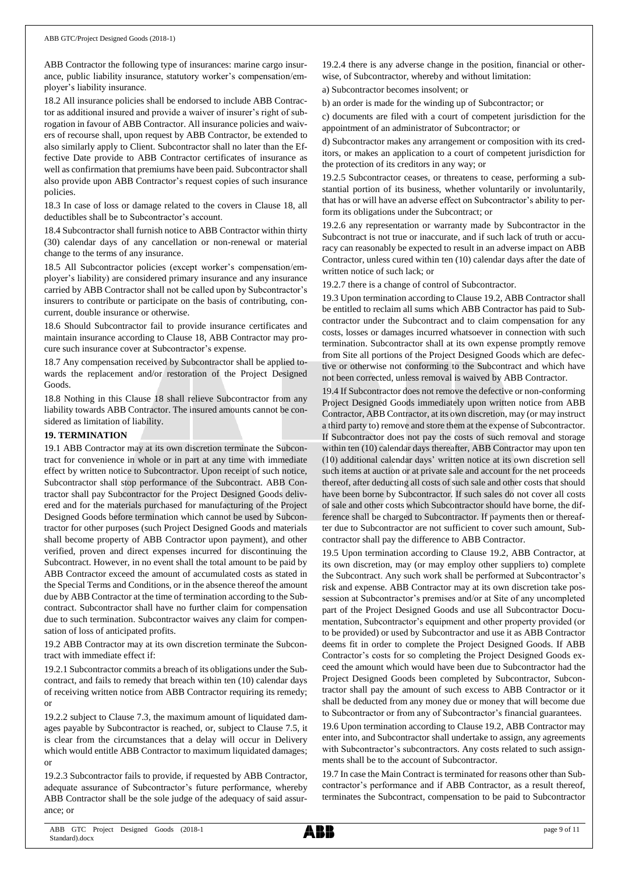ABB Contractor the following type of insurances: marine cargo insurance, public liability insurance, statutory worker's compensation/employer's liability insurance.

18.2 All insurance policies shall be endorsed to include ABB Contractor as additional insured and provide a waiver of insurer's right of subrogation in favour of ABB Contractor. All insurance policies and waivers of recourse shall, upon request by ABB Contractor, be extended to also similarly apply to Client. Subcontractor shall no later than the Effective Date provide to ABB Contractor certificates of insurance as well as confirmation that premiums have been paid. Subcontractor shall also provide upon ABB Contractor's request copies of such insurance policies.

18.3 In case of loss or damage related to the covers in Clause 18, all deductibles shall be to Subcontractor's account.

18.4 Subcontractor shall furnish notice to ABB Contractor within thirty (30) calendar days of any cancellation or non-renewal or material change to the terms of any insurance.

18.5 All Subcontractor policies (except worker's compensation/employer's liability) are considered primary insurance and any insurance carried by ABB Contractor shall not be called upon by Subcontractor's insurers to contribute or participate on the basis of contributing, concurrent, double insurance or otherwise.

18.6 Should Subcontractor fail to provide insurance certificates and maintain insurance according to Clause 18, ABB Contractor may procure such insurance cover at Subcontractor's expense.

18.7 Any compensation received by Subcontractor shall be applied towards the replacement and/or restoration of the Project Designed Goods.

18.8 Nothing in this Clause 18 shall relieve Subcontractor from any liability towards ABB Contractor. The insured amounts cannot be considered as limitation of liability.

## **19. TERMINATION**

19.1 ABB Contractor may at its own discretion terminate the Subcontract for convenience in whole or in part at any time with immediate effect by written notice to Subcontractor. Upon receipt of such notice, Subcontractor shall stop performance of the Subcontract. ABB Contractor shall pay Subcontractor for the Project Designed Goods delivered and for the materials purchased for manufacturing of the Project Designed Goods before termination which cannot be used by Subcontractor for other purposes (such Project Designed Goods and materials shall become property of ABB Contractor upon payment), and other verified, proven and direct expenses incurred for discontinuing the Subcontract. However, in no event shall the total amount to be paid by ABB Contractor exceed the amount of accumulated costs as stated in the Special Terms and Conditions, or in the absence thereof the amount due by ABB Contractor at the time of termination according to the Subcontract. Subcontractor shall have no further claim for compensation due to such termination. Subcontractor waives any claim for compensation of loss of anticipated profits.

19.2 ABB Contractor may at its own discretion terminate the Subcontract with immediate effect if:

19.2.1 Subcontractor commits a breach of its obligations under the Subcontract, and fails to remedy that breach within ten (10) calendar days of receiving written notice from ABB Contractor requiring its remedy; or

19.2.2 subject to Clause 7.3, the maximum amount of liquidated damages payable by Subcontractor is reached, or, subject to Clause 7.5, it is clear from the circumstances that a delay will occur in Delivery which would entitle ABB Contractor to maximum liquidated damages; or

19.2.3 Subcontractor fails to provide, if requested by ABB Contractor, adequate assurance of Subcontractor's future performance, whereby ABB Contractor shall be the sole judge of the adequacy of said assurance; or

19.2.4 there is any adverse change in the position, financial or otherwise, of Subcontractor, whereby and without limitation:

a) Subcontractor becomes insolvent; or

b) an order is made for the winding up of Subcontractor; or

c) documents are filed with a court of competent jurisdiction for the appointment of an administrator of Subcontractor; or

d) Subcontractor makes any arrangement or composition with its creditors, or makes an application to a court of competent jurisdiction for the protection of its creditors in any way; or

19.2.5 Subcontractor ceases, or threatens to cease, performing a substantial portion of its business, whether voluntarily or involuntarily, that has or will have an adverse effect on Subcontractor's ability to perform its obligations under the Subcontract; or

19.2.6 any representation or warranty made by Subcontractor in the Subcontract is not true or inaccurate, and if such lack of truth or accuracy can reasonably be expected to result in an adverse impact on ABB Contractor, unless cured within ten (10) calendar days after the date of written notice of such lack; or

19.2.7 there is a change of control of Subcontractor.

19.3 Upon termination according to Clause 19.2, ABB Contractor shall be entitled to reclaim all sums which ABB Contractor has paid to Subcontractor under the Subcontract and to claim compensation for any costs, losses or damages incurred whatsoever in connection with such termination. Subcontractor shall at its own expense promptly remove from Site all portions of the Project Designed Goods which are defective or otherwise not conforming to the Subcontract and which have not been corrected, unless removal is waived by ABB Contractor.

19.4 If Subcontractor does not remove the defective or non-conforming Project Designed Goods immediately upon written notice from ABB Contractor, ABB Contractor, at its own discretion, may (or may instruct a third party to) remove and store them at the expense of Subcontractor. If Subcontractor does not pay the costs of such removal and storage within ten (10) calendar days thereafter, ABB Contractor may upon ten (10) additional calendar days' written notice at its own discretion sell such items at auction or at private sale and account for the net proceeds thereof, after deducting all costs of such sale and other costs that should have been borne by Subcontractor. If such sales do not cover all costs of sale and other costs which Subcontractor should have borne, the difference shall be charged to Subcontractor. If payments then or thereafter due to Subcontractor are not sufficient to cover such amount, Subcontractor shall pay the difference to ABB Contractor.

19.5 Upon termination according to Clause 19.2, ABB Contractor, at its own discretion, may (or may employ other suppliers to) complete the Subcontract. Any such work shall be performed at Subcontractor's risk and expense. ABB Contractor may at its own discretion take possession at Subcontractor's premises and/or at Site of any uncompleted part of the Project Designed Goods and use all Subcontractor Documentation, Subcontractor's equipment and other property provided (or to be provided) or used by Subcontractor and use it as ABB Contractor deems fit in order to complete the Project Designed Goods. If ABB Contractor's costs for so completing the Project Designed Goods exceed the amount which would have been due to Subcontractor had the Project Designed Goods been completed by Subcontractor, Subcontractor shall pay the amount of such excess to ABB Contractor or it shall be deducted from any money due or money that will become due to Subcontractor or from any of Subcontractor's financial guarantees.

19.6 Upon termination according to Clause 19.2, ABB Contractor may enter into, and Subcontractor shall undertake to assign, any agreements with Subcontractor's subcontractors. Any costs related to such assignments shall be to the account of Subcontractor.

19.7 In case the Main Contract is terminated for reasons other than Subcontractor's performance and if ABB Contractor, as a result thereof, terminates the Subcontract, compensation to be paid to Subcontractor

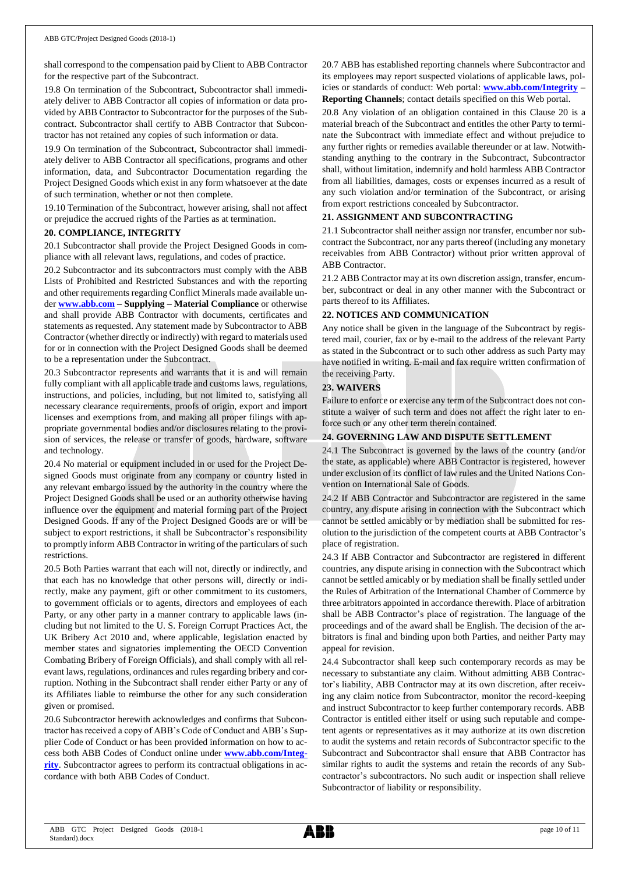shall correspond to the compensation paid by Client to ABB Contractor for the respective part of the Subcontract.

19.8 On termination of the Subcontract, Subcontractor shall immediately deliver to ABB Contractor all copies of information or data provided by ABB Contractor to Subcontractor for the purposes of the Subcontract. Subcontractor shall certify to ABB Contractor that Subcontractor has not retained any copies of such information or data.

19.9 On termination of the Subcontract, Subcontractor shall immediately deliver to ABB Contractor all specifications, programs and other information, data, and Subcontractor Documentation regarding the Project Designed Goods which exist in any form whatsoever at the date of such termination, whether or not then complete.

19.10 Termination of the Subcontract, however arising, shall not affect or prejudice the accrued rights of the Parties as at termination.

#### **20. COMPLIANCE, INTEGRITY**

20.1 Subcontractor shall provide the Project Designed Goods in compliance with all relevant laws, regulations, and codes of practice.

20.2 Subcontractor and its subcontractors must comply with the ABB Lists of Prohibited and Restricted Substances and with the reporting and other requirements regarding Conflict Minerals made available under **[www.abb.com](http://www.abb.com/) – Supplying – Material Compliance** or otherwise and shall provide ABB Contractor with documents, certificates and statements as requested. Any statement made by Subcontractor to ABB Contractor (whether directly or indirectly) with regard to materials used for or in connection with the Project Designed Goods shall be deemed to be a representation under the Subcontract.

20.3 Subcontractor represents and warrants that it is and will remain fully compliant with all applicable trade and customs laws, regulations, instructions, and policies, including, but not limited to, satisfying all necessary clearance requirements, proofs of origin, export and import licenses and exemptions from, and making all proper filings with appropriate governmental bodies and/or disclosures relating to the provision of services, the release or transfer of goods, hardware, software and technology.

20.4 No material or equipment included in or used for the Project Designed Goods must originate from any company or country listed in any relevant embargo issued by the authority in the country where the Project Designed Goods shall be used or an authority otherwise having influence over the equipment and material forming part of the Project Designed Goods. If any of the Project Designed Goods are or will be subject to export restrictions, it shall be Subcontractor's responsibility to promptly inform ABB Contractor in writing of the particulars of such restrictions.

20.5 Both Parties warrant that each will not, directly or indirectly, and that each has no knowledge that other persons will, directly or indirectly, make any payment, gift or other commitment to its customers, to government officials or to agents, directors and employees of each Party, or any other party in a manner contrary to applicable laws (including but not limited to the U. S. Foreign Corrupt Practices Act, the UK Bribery Act 2010 and, where applicable, legislation enacted by member states and signatories implementing the OECD Convention Combating Bribery of Foreign Officials), and shall comply with all relevant laws, regulations, ordinances and rules regarding bribery and corruption. Nothing in the Subcontract shall render either Party or any of its Affiliates liable to reimburse the other for any such consideration given or promised.

20.6 Subcontractor herewith acknowledges and confirms that Subcontractor has received a copy of ABB's Code of Conduct and ABB's Supplier Code of Conduct or has been provided information on how to access both ABB Codes of Conduct online under **[www.abb.com/Integ](http://www.abb.com/Integrity)[rity](http://www.abb.com/Integrity)**. Subcontractor agrees to perform its contractual obligations in accordance with both ABB Codes of Conduct.

20.7 ABB has established reporting channels where Subcontractor and its employees may report suspected violations of applicable laws, policies or standards of conduct: Web portal: **[www.abb.com/Integrity](http://www.abb.com/Integrity) – Reporting Channels**; contact details specified on this Web portal.

20.8 Any violation of an obligation contained in this Clause 20 is a material breach of the Subcontract and entitles the other Party to terminate the Subcontract with immediate effect and without prejudice to any further rights or remedies available thereunder or at law. Notwithstanding anything to the contrary in the Subcontract, Subcontractor shall, without limitation, indemnify and hold harmless ABB Contractor from all liabilities, damages, costs or expenses incurred as a result of any such violation and/or termination of the Subcontract, or arising from export restrictions concealed by Subcontractor.

## **21. ASSIGNMENT AND SUBCONTRACTING**

21.1 Subcontractor shall neither assign nor transfer, encumber nor subcontract the Subcontract, nor any parts thereof (including any monetary receivables from ABB Contractor) without prior written approval of ABB Contractor.

21.2 ABB Contractor may at its own discretion assign, transfer, encumber, subcontract or deal in any other manner with the Subcontract or parts thereof to its Affiliates.

## **22. NOTICES AND COMMUNICATION**

Any notice shall be given in the language of the Subcontract by registered mail, courier, fax or by e-mail to the address of the relevant Party as stated in the Subcontract or to such other address as such Party may have notified in writing. E-mail and fax require written confirmation of the receiving Party.

## **23. WAIVERS**

Failure to enforce or exercise any term of the Subcontract does not constitute a waiver of such term and does not affect the right later to enforce such or any other term therein contained.

## **24. GOVERNING LAW AND DISPUTE SETTLEMENT**

24.1 The Subcontract is governed by the laws of the country (and/or the state, as applicable) where ABB Contractor is registered, however under exclusion of its conflict of law rules and the United Nations Convention on International Sale of Goods.

24.2 If ABB Contractor and Subcontractor are registered in the same country, any dispute arising in connection with the Subcontract which cannot be settled amicably or by mediation shall be submitted for resolution to the jurisdiction of the competent courts at ABB Contractor's place of registration.

24.3 If ABB Contractor and Subcontractor are registered in different countries, any dispute arising in connection with the Subcontract which cannot be settled amicably or by mediation shall be finally settled under the Rules of Arbitration of the International Chamber of Commerce by three arbitrators appointed in accordance therewith. Place of arbitration shall be ABB Contractor's place of registration. The language of the proceedings and of the award shall be English. The decision of the arbitrators is final and binding upon both Parties, and neither Party may appeal for revision.

24.4 Subcontractor shall keep such contemporary records as may be necessary to substantiate any claim. Without admitting ABB Contractor's liability, ABB Contractor may at its own discretion, after receiving any claim notice from Subcontractor, monitor the record-keeping and instruct Subcontractor to keep further contemporary records. ABB Contractor is entitled either itself or using such reputable and competent agents or representatives as it may authorize at its own discretion to audit the systems and retain records of Subcontractor specific to the Subcontract and Subcontractor shall ensure that ABB Contractor has similar rights to audit the systems and retain the records of any Subcontractor's subcontractors. No such audit or inspection shall relieve Subcontractor of liability or responsibility.